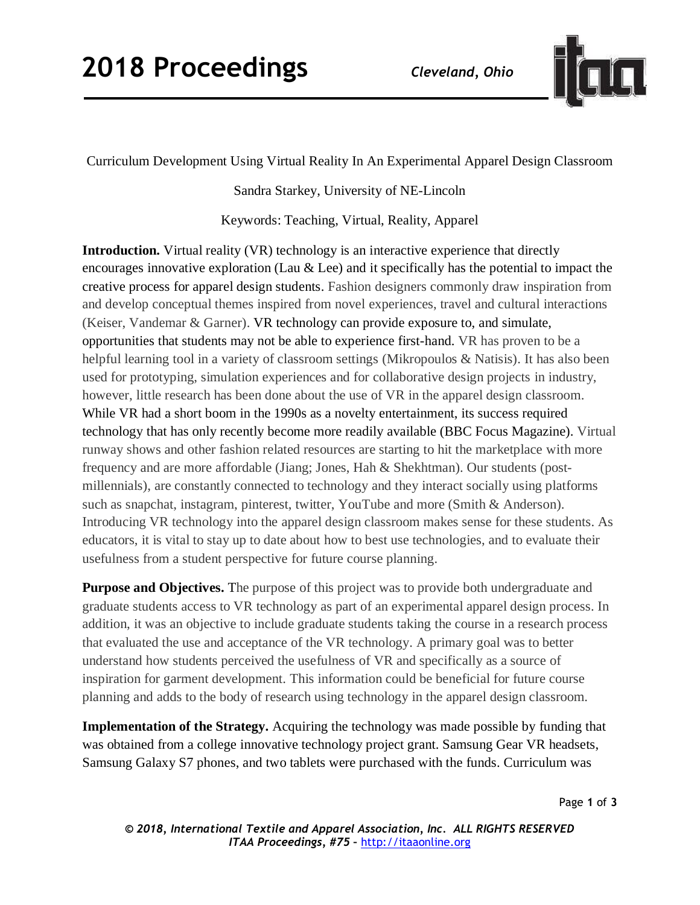

Curriculum Development Using Virtual Reality In An Experimental Apparel Design Classroom

Sandra Starkey, University of NE-Lincoln

Keywords: Teaching, Virtual, Reality, Apparel

**Introduction.** Virtual reality (VR) technology is an interactive experience that directly encourages innovative exploration (Lau & Lee) and it specifically has the potential to impact the creative process for apparel design students. Fashion designers commonly draw inspiration from and develop conceptual themes inspired from novel experiences, travel and cultural interactions (Keiser, Vandemar & Garner). VR technology can provide exposure to, and simulate, opportunities that students may not be able to experience first-hand. VR has proven to be a helpful learning tool in a variety of classroom settings (Mikropoulos & Natisis). It has also been used for prototyping, simulation experiences and for collaborative design projects in industry, however, little research has been done about the use of VR in the apparel design classroom. While VR had a short boom in the 1990s as a novelty entertainment, its success required technology that has only recently become more readily available (BBC Focus Magazine). Virtual runway shows and other fashion related resources are starting to hit the marketplace with more frequency and are more affordable (Jiang; Jones, Hah & Shekhtman). Our students (postmillennials), are constantly connected to technology and they interact socially using platforms such as snapchat, instagram, pinterest, twitter, YouTube and more (Smith & Anderson). Introducing VR technology into the apparel design classroom makes sense for these students. As educators, it is vital to stay up to date about how to best use technologies, and to evaluate their usefulness from a student perspective for future course planning.

**Purpose and Objectives.** The purpose of this project was to provide both undergraduate and graduate students access to VR technology as part of an experimental apparel design process. In addition, it was an objective to include graduate students taking the course in a research process that evaluated the use and acceptance of the VR technology. A primary goal was to better understand how students perceived the usefulness of VR and specifically as a source of inspiration for garment development. This information could be beneficial for future course planning and adds to the body of research using technology in the apparel design classroom.

**Implementation of the Strategy.** Acquiring the technology was made possible by funding that was obtained from a college innovative technology project grant. Samsung Gear VR headsets, Samsung Galaxy S7 phones, and two tablets were purchased with the funds. Curriculum was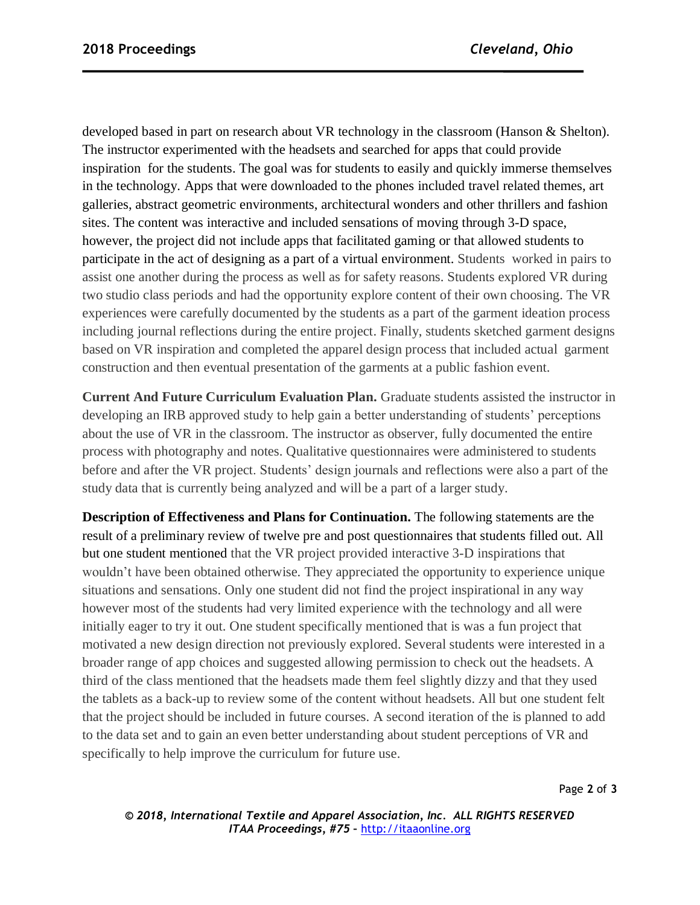developed based in part on research about VR technology in the classroom (Hanson & Shelton). The instructor experimented with the headsets and searched for apps that could provide inspiration for the students. The goal was for students to easily and quickly immerse themselves in the technology. Apps that were downloaded to the phones included travel related themes, art galleries, abstract geometric environments, architectural wonders and other thrillers and fashion sites. The content was interactive and included sensations of moving through 3-D space, however, the project did not include apps that facilitated gaming or that allowed students to participate in the act of designing as a part of a virtual environment. Students worked in pairs to assist one another during the process as well as for safety reasons. Students explored VR during two studio class periods and had the opportunity explore content of their own choosing. The VR experiences were carefully documented by the students as a part of the garment ideation process including journal reflections during the entire project. Finally, students sketched garment designs based on VR inspiration and completed the apparel design process that included actual garment construction and then eventual presentation of the garments at a public fashion event.

**Current And Future Curriculum Evaluation Plan.** Graduate students assisted the instructor in developing an IRB approved study to help gain a better understanding of students' perceptions about the use of VR in the classroom. The instructor as observer, fully documented the entire process with photography and notes. Qualitative questionnaires were administered to students before and after the VR project. Students' design journals and reflections were also a part of the study data that is currently being analyzed and will be a part of a larger study.

**Description of Effectiveness and Plans for Continuation.** The following statements are the result of a preliminary review of twelve pre and post questionnaires that students filled out. All but one student mentioned that the VR project provided interactive 3-D inspirations that wouldn't have been obtained otherwise. They appreciated the opportunity to experience unique situations and sensations. Only one student did not find the project inspirational in any way however most of the students had very limited experience with the technology and all were initially eager to try it out. One student specifically mentioned that is was a fun project that motivated a new design direction not previously explored. Several students were interested in a broader range of app choices and suggested allowing permission to check out the headsets. A third of the class mentioned that the headsets made them feel slightly dizzy and that they used the tablets as a back-up to review some of the content without headsets. All but one student felt that the project should be included in future courses. A second iteration of the is planned to add to the data set and to gain an even better understanding about student perceptions of VR and specifically to help improve the curriculum for future use.

*© 2018, International Textile and Apparel Association, Inc. ALL RIGHTS RESERVED ITAA Proceedings, #75 –* [http://itaaonline.org](http://itaaonline.org/)